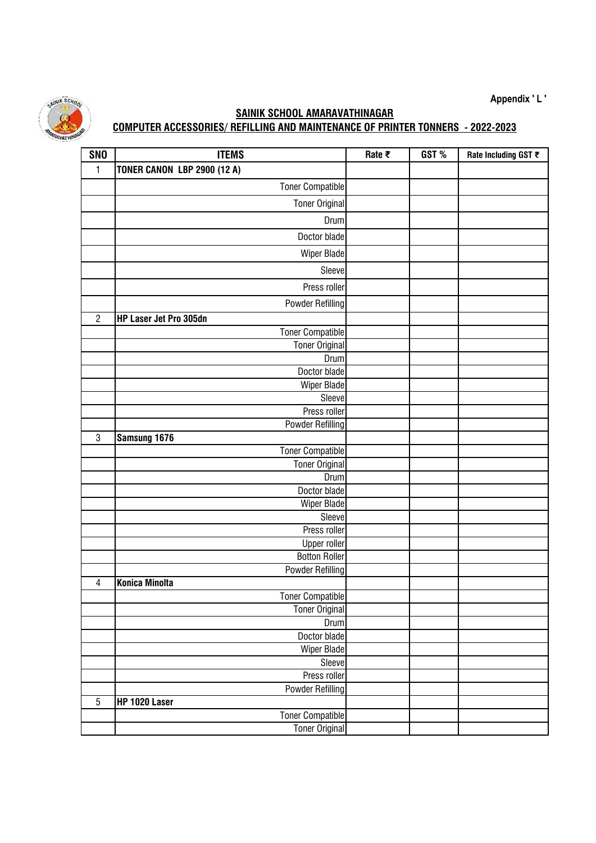**Appendix ' L '**



## **SAINIK SCHOOL AMARAVATHINAGAR COMPUTER ACCESSORIES/ REFILLING AND MAINTENANCE OF PRINTER TONNERS - 2022-2023**

| <b>SNO</b>     | <b>ITEMS</b>                       | Rate $\bar{\tau}$ | GST% | Rate Including GST ₹ |
|----------------|------------------------------------|-------------------|------|----------------------|
| $\mathbf{1}$   | <b>TONER CANON LBP 2900 (12 A)</b> |                   |      |                      |
|                | <b>Toner Compatible</b>            |                   |      |                      |
|                | <b>Toner Original</b>              |                   |      |                      |
|                | Drum                               |                   |      |                      |
|                | Doctor blade                       |                   |      |                      |
|                |                                    |                   |      |                      |
|                | Wiper Blade                        |                   |      |                      |
|                | Sleeve                             |                   |      |                      |
|                | Press roller                       |                   |      |                      |
|                | <b>Powder Refilling</b>            |                   |      |                      |
| $\overline{2}$ | HP Laser Jet Pro 305dn             |                   |      |                      |
|                | <b>Toner Compatible</b>            |                   |      |                      |
|                | <b>Toner Original</b>              |                   |      |                      |
|                | Drum                               |                   |      |                      |
|                | Doctor blade                       |                   |      |                      |
|                | <b>Wiper Blade</b>                 |                   |      |                      |
|                | Sleeve                             |                   |      |                      |
|                | Press roller                       |                   |      |                      |
|                | <b>Powder Refilling</b>            |                   |      |                      |
| $\mathbf 3$    | Samsung 1676                       |                   |      |                      |
|                | Toner Compatible                   |                   |      |                      |
|                | <b>Toner Original</b>              |                   |      |                      |
|                | Drum                               |                   |      |                      |
|                | Doctor blade                       |                   |      |                      |
|                | Wiper Blade                        |                   |      |                      |
|                | Sleeve                             |                   |      |                      |
|                | Press roller                       |                   |      |                      |
|                | <b>Upper roller</b>                |                   |      |                      |
|                | <b>Botton Roller</b>               |                   |      |                      |
|                | <b>Powder Refilling</b>            |                   |      |                      |
| $\overline{4}$ | <b>Konica Minolta</b>              |                   |      |                      |
|                | <b>Toner Compatible</b>            |                   |      |                      |
|                | <b>Toner Original</b>              |                   |      |                      |
|                | <b>Drum</b>                        |                   |      |                      |
|                | Doctor blade                       |                   |      |                      |
|                | <b>Wiper Blade</b>                 |                   |      |                      |
|                | Sleeve                             |                   |      |                      |
|                | Press roller                       |                   |      |                      |
|                | Powder Refilling                   |                   |      |                      |
| $\overline{5}$ | HP 1020 Laser                      |                   |      |                      |
|                | <b>Toner Compatible</b>            |                   |      |                      |
|                | <b>Toner Original</b>              |                   |      |                      |
|                |                                    |                   |      |                      |